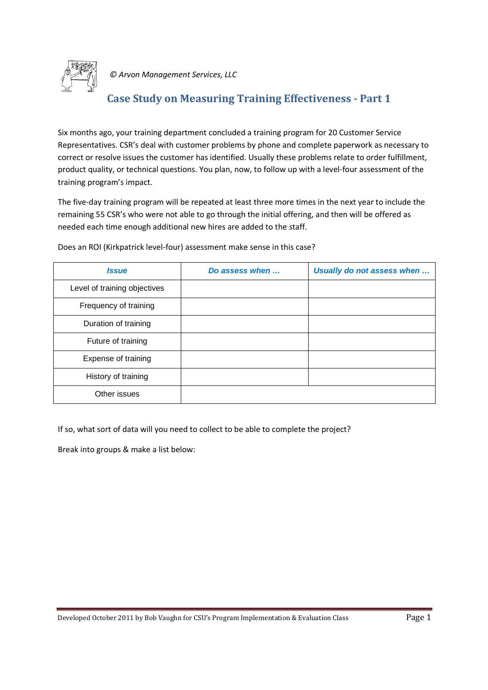

### **Case Study on Measuring Training Effectiveness - Part 1**

Six months ago, your training department concluded a training program for 20 Customer Service Representatives. CSR's deal with customer problems by phone and complete paperwork as necessary to correct or resolve issues the customer has identified. Usually these problems relate to order fulfillment, product quality, or technical questions. You plan, now, to follow up with a level-four assessment of the training program's impact.

The five-day training program will be repeated at least three more times in the next year to include the remaining 55 CSR's who were not able to go through the initial offering, and then will be offered as needed each time enough additional new hires are added to the staff.

| <b>Issue</b>                 | Do assess when | Usually do not assess when |
|------------------------------|----------------|----------------------------|
| Level of training objectives |                |                            |
| Frequency of training        |                |                            |
| Duration of training         |                |                            |
| Future of training           |                |                            |
| Expense of training          |                |                            |
| History of training          |                |                            |
| Other issues                 |                |                            |

Does an ROI (Kirkpatrick level-four) assessment make sense in this case?

If so, what sort of data will you need to collect to be able to complete the project?

Break into groups & make a list below: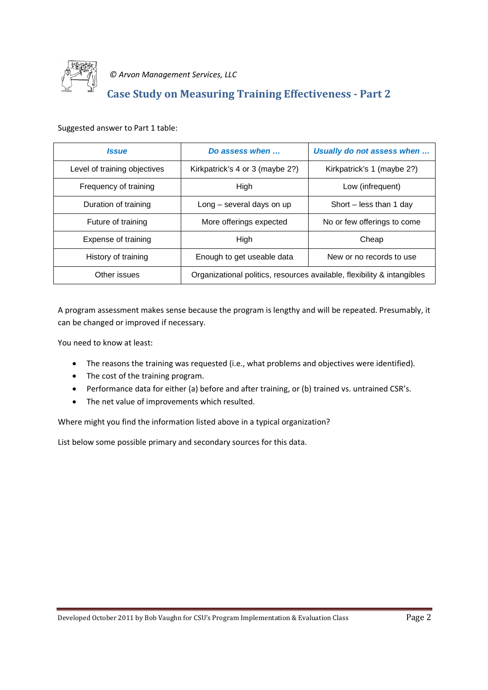

## **Case Study on Measuring Training Effectiveness - Part 2**

Suggested answer to Part 1 table:

| <b>Issue</b>                 | Do assess when                                                          | Usually do not assess when  |  |
|------------------------------|-------------------------------------------------------------------------|-----------------------------|--|
| Level of training objectives | Kirkpatrick's 4 or 3 (maybe 2?)                                         | Kirkpatrick's 1 (maybe 2?)  |  |
| Frequency of training        | High                                                                    | Low (infrequent)            |  |
| Duration of training         | Long - several days on up                                               | Short – less than 1 day     |  |
| Future of training           | More offerings expected                                                 | No or few offerings to come |  |
| Expense of training          | High                                                                    | Cheap                       |  |
| History of training          | Enough to get useable data                                              | New or no records to use    |  |
| Other issues                 | Organizational politics, resources available, flexibility & intangibles |                             |  |

A program assessment makes sense because the program is lengthy and will be repeated. Presumably, it can be changed or improved if necessary.

You need to know at least:

- · The reasons the training was requested (i.e., what problems and objectives were identified).
- The cost of the training program.
- · Performance data for either (a) before and after training, or (b) trained vs. untrained CSR's.
- · The net value of improvements which resulted.

Where might you find the information listed above in a typical organization?

List below some possible primary and secondary sources for this data.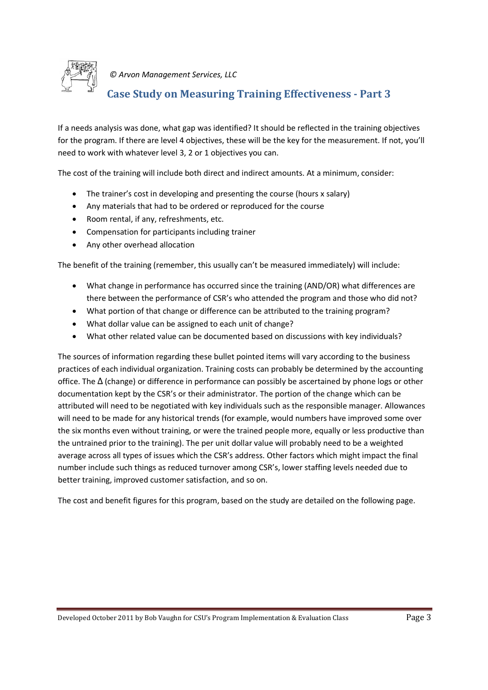

## **Case Study on Measuring Training Effectiveness - Part 3**

If a needs analysis was done, what gap was identified? It should be reflected in the training objectives for the program. If there are level 4 objectives, these will be the key for the measurement. If not, you'll need to work with whatever level 3, 2 or 1 objectives you can.

The cost of the training will include both direct and indirect amounts. At a minimum, consider:

- The trainer's cost in developing and presenting the course (hours x salary)
- · Any materials that had to be ordered or reproduced for the course
- · Room rental, if any, refreshments, etc.
- · Compensation for participants including trainer
- · Any other overhead allocation

The benefit of the training (remember, this usually can't be measured immediately) will include:

- · What change in performance has occurred since the training (AND/OR) what differences are there between the performance of CSR's who attended the program and those who did not?
- · What portion of that change or difference can be attributed to the training program?
- · What dollar value can be assigned to each unit of change?
- · What other related value can be documented based on discussions with key individuals?

The sources of information regarding these bullet pointed items will vary according to the business practices of each individual organization. Training costs can probably be determined by the accounting office. The ∆ (change) or difference in performance can possibly be ascertained by phone logs or other documentation kept by the CSR's or their administrator. The portion of the change which can be attributed will need to be negotiated with key individuals such as the responsible manager. Allowances will need to be made for any historical trends (for example, would numbers have improved some over the six months even without training, or were the trained people more, equally or less productive than the untrained prior to the training). The per unit dollar value will probably need to be a weighted average across all types of issues which the CSR's address. Other factors which might impact the final number include such things as reduced turnover among CSR's, lower staffing levels needed due to better training, improved customer satisfaction, and so on.

The cost and benefit figures for this program, based on the study are detailed on the following page.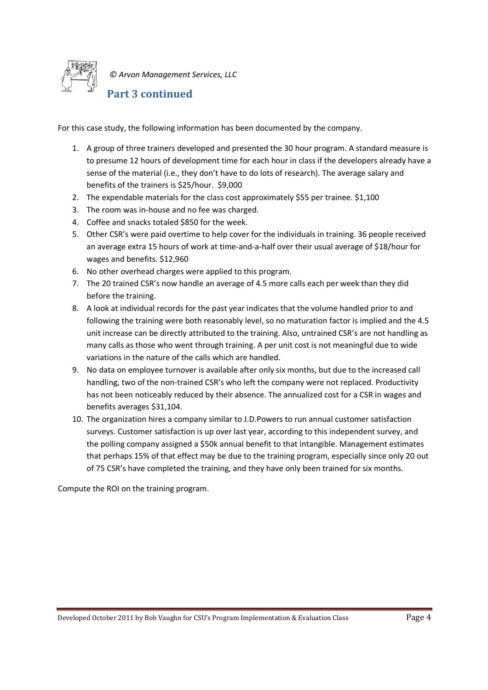

### **Part 3 continued**

For this case study, the following information has been documented by the company.

- 1. A group of three trainers developed and presented the 30 hour program. A standard measure is to presume 12 hours of development time for each hour in class if the developers already have a sense of the material (i.e., they don't have to do lots of research). The average salary and benefits of the trainers is \$25/hour. \$9,000
- 2. The expendable materials for the class cost approximately \$55 per trainee. \$1,100
- 3. The room was in-house and no fee was charged.
- 4. Coffee and snacks totaled \$850 for the week.
- 5. Other CSR's were paid overtime to help cover for the individuals in training. 36 people received an average extra 15 hours of work at time-and-a-half over their usual average of \$18/hour for wages and benefits. \$12,960
- 6. No other overhead charges were applied to this program.
- 7. The 20 trained CSR's now handle an average of 4.5 more calls each per week than they did before the training.
- 8. A look at individual records for the past year indicates that the volume handled prior to and following the training were both reasonably level, so no maturation factor is implied and the 4.5 unit increase can be directly attributed to the training. Also, untrained CSR's are not handling as many calls as those who went through training. A per unit cost is not meaningful due to wide variations in the nature of the calls which are handled.
- 9. No data on employee turnover is available after only six months, but due to the increased call handling, two of the non-trained CSR's who left the company were not replaced. Productivity has not been noticeably reduced by their absence. The annualized cost for a CSR in wages and benefits averages \$31,104.
- 10. The organization hires a company similar to J.D.Powers to run annual customer satisfaction surveys. Customer satisfaction is up over last year, according to this independent survey, and the polling company assigned a \$50k annual benefit to that intangible. Management estimates that perhaps 15% of that effect may be due to the training program, especially since only 20 out of 75 CSR's have completed the training, and they have only been trained for six months.

Compute the ROI on the training program.